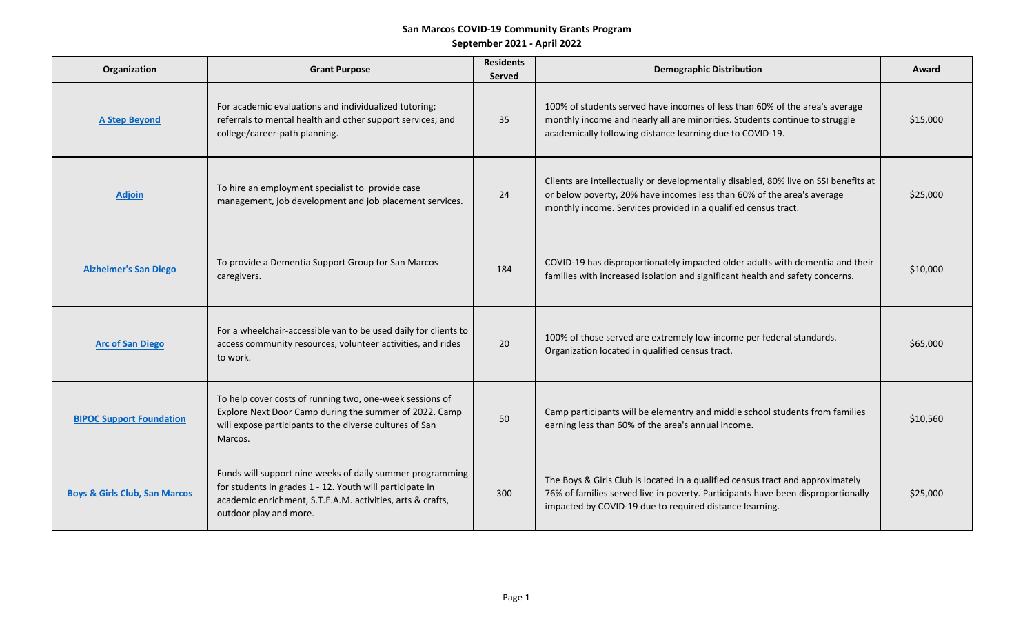# **San Marcos COVID-19 Community Grants Program**

**September 2021 - April 2022** 

| Organization                             | <b>Grant Purpose</b>                                                                                                                                                                                          | <b>Residents</b><br><b>Served</b> | <b>Demographic Distribution</b>                                                                                                                                                                                                 | Award    |
|------------------------------------------|---------------------------------------------------------------------------------------------------------------------------------------------------------------------------------------------------------------|-----------------------------------|---------------------------------------------------------------------------------------------------------------------------------------------------------------------------------------------------------------------------------|----------|
| <b>A Step Beyond</b>                     | For academic evaluations and individualized tutoring;<br>referrals to mental health and other support services; and<br>college/career-path planning.                                                          | 35                                | 100% of students served have incomes of less than 60% of the area's average<br>monthly income and nearly all are minorities. Students continue to struggle<br>academically following distance learning due to COVID-19.         | \$15,000 |
| <b>Adjoin</b>                            | To hire an employment specialist to provide case<br>management, job development and job placement services.                                                                                                   | 24                                | Clients are intellectually or developmentally disabled, 80% live on SSI benefits at<br>or below poverty, 20% have incomes less than 60% of the area's average<br>monthly income. Services provided in a qualified census tract. | \$25,000 |
| <b>Alzheimer's San Diego</b>             | To provide a Dementia Support Group for San Marcos<br>caregivers.                                                                                                                                             | 184                               | COVID-19 has disproportionately impacted older adults with dementia and their<br>families with increased isolation and significant health and safety concerns.                                                                  | \$10,000 |
| <b>Arc of San Diego</b>                  | For a wheelchair-accessible van to be used daily for clients to<br>access community resources, volunteer activities, and rides<br>to work.                                                                    | 20                                | 100% of those served are extremely low-income per federal standards.<br>Organization located in qualified census tract.                                                                                                         | \$65,000 |
| <b>BIPOC Support Foundation</b>          | To help cover costs of running two, one-week sessions of<br>Explore Next Door Camp during the summer of 2022. Camp<br>will expose participants to the diverse cultures of San<br>Marcos.                      | 50                                | Camp participants will be elementry and middle school students from families<br>earning less than 60% of the area's annual income.                                                                                              | \$10,560 |
| <b>Boys &amp; Girls Club, San Marcos</b> | Funds will support nine weeks of daily summer programming<br>for students in grades 1 - 12. Youth will participate in<br>academic enrichment, S.T.E.A.M. activities, arts & crafts,<br>outdoor play and more. | 300                               | The Boys & Girls Club is located in a qualified census tract and approximately<br>76% of families served live in poverty. Participants have been disproportionally<br>impacted by COVID-19 due to required distance learning.   | \$25,000 |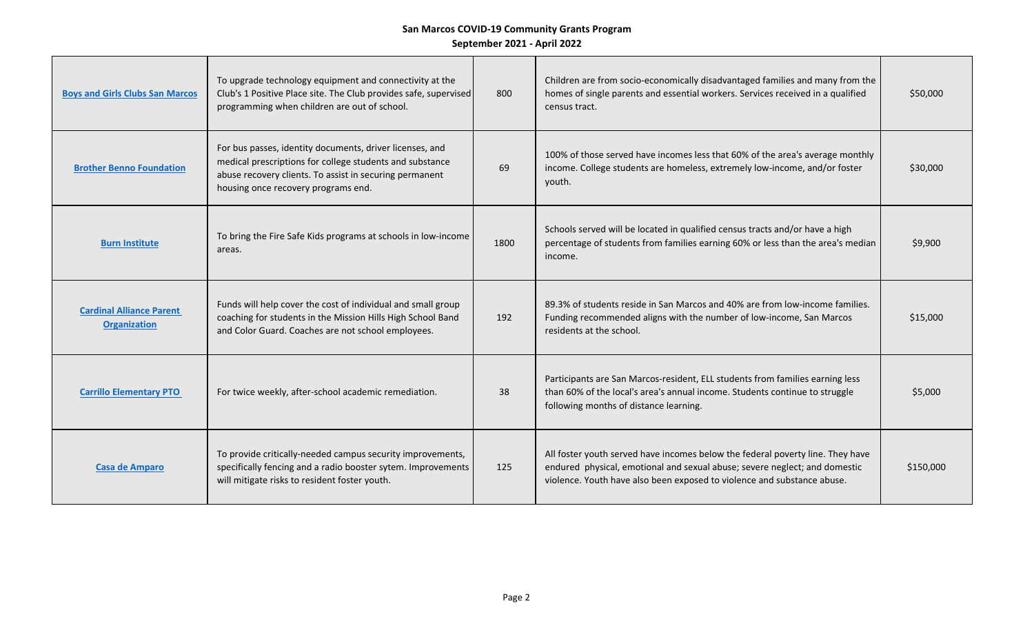| <b>Boys and Girls Clubs San Marcos</b>                 | To upgrade technology equipment and connectivity at the<br>Club's 1 Positive Place site. The Club provides safe, supervised<br>programming when children are out of school.                                            | 800  | Children are from socio-economically disadvantaged families and many from the<br>homes of single parents and essential workers. Services received in a qualified<br>census tract.                                                       | \$50,000  |
|--------------------------------------------------------|------------------------------------------------------------------------------------------------------------------------------------------------------------------------------------------------------------------------|------|-----------------------------------------------------------------------------------------------------------------------------------------------------------------------------------------------------------------------------------------|-----------|
| <b>Brother Benno Foundation</b>                        | For bus passes, identity documents, driver licenses, and<br>medical prescriptions for college students and substance<br>abuse recovery clients. To assist in securing permanent<br>housing once recovery programs end. | 69   | 100% of those served have incomes less that 60% of the area's average monthly<br>income. College students are homeless, extremely low-income, and/or foster<br>youth.                                                                   | \$30,000  |
| <b>Burn Institute</b>                                  | To bring the Fire Safe Kids programs at schools in low-income<br>areas.                                                                                                                                                | 1800 | Schools served will be located in qualified census tracts and/or have a high<br>percentage of students from families earning 60% or less than the area's median<br>income.                                                              | \$9,900   |
| <b>Cardinal Alliance Parent</b><br><b>Organization</b> | Funds will help cover the cost of individual and small group<br>coaching for students in the Mission Hills High School Band<br>and Color Guard. Coaches are not school employees.                                      | 192  | 89.3% of students reside in San Marcos and 40% are from low-income families.<br>Funding recommended aligns with the number of low-income, San Marcos<br>residents at the school.                                                        | \$15,000  |
| <b>Carrillo Elementary PTO</b>                         | For twice weekly, after-school academic remediation.                                                                                                                                                                   | 38   | Participants are San Marcos-resident, ELL students from families earning less<br>than 60% of the local's area's annual income. Students continue to struggle<br>following months of distance learning.                                  | \$5,000   |
| <b>Casa de Amparo</b>                                  | To provide critically-needed campus security improvements,<br>specifically fencing and a radio booster sytem. Improvements<br>will mitigate risks to resident foster youth.                                            | 125  | All foster youth served have incomes below the federal poverty line. They have<br>endured physical, emotional and sexual abuse; severe neglect; and domestic<br>violence. Youth have also been exposed to violence and substance abuse. | \$150,000 |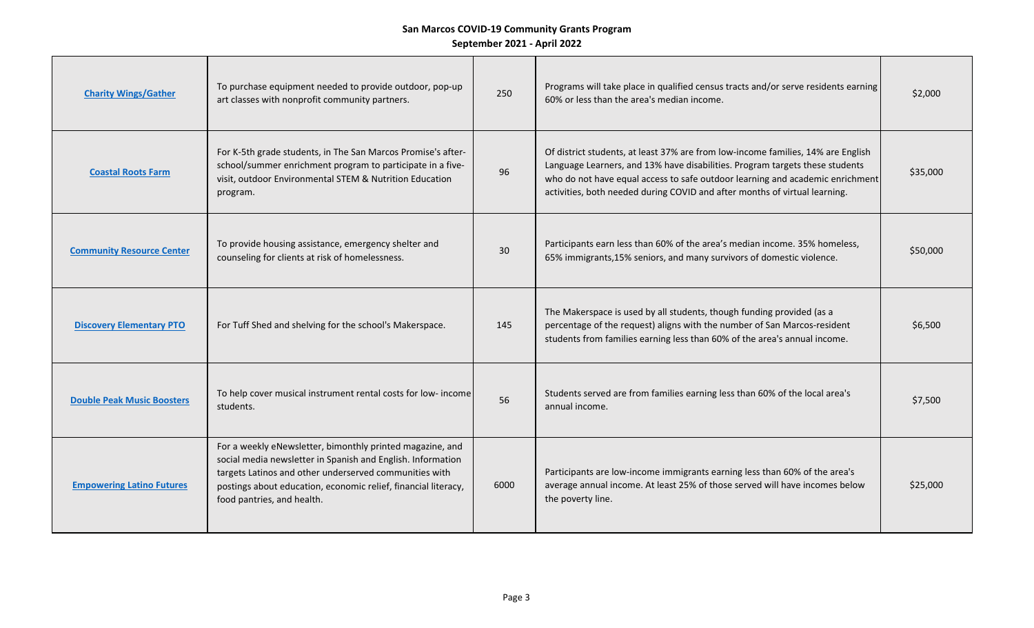| <b>Charity Wings/Gather</b>       | To purchase equipment needed to provide outdoor, pop-up<br>art classes with nonprofit community partners.                                                                                                                                                                          | 250  | Programs will take place in qualified census tracts and/or serve residents earning<br>60% or less than the area's median income.                                                                                                                                                                                                | \$2,000  |
|-----------------------------------|------------------------------------------------------------------------------------------------------------------------------------------------------------------------------------------------------------------------------------------------------------------------------------|------|---------------------------------------------------------------------------------------------------------------------------------------------------------------------------------------------------------------------------------------------------------------------------------------------------------------------------------|----------|
| <b>Coastal Roots Farm</b>         | For K-5th grade students, in The San Marcos Promise's after-<br>school/summer enrichment program to participate in a five-<br>visit, outdoor Environmental STEM & Nutrition Education<br>program.                                                                                  | 96   | Of district students, at least 37% are from low-income families, 14% are English<br>Language Learners, and 13% have disabilities. Program targets these students<br>who do not have equal access to safe outdoor learning and academic enrichment<br>activities, both needed during COVID and after months of virtual learning. | \$35,000 |
| <b>Community Resource Center</b>  | To provide housing assistance, emergency shelter and<br>counseling for clients at risk of homelessness.                                                                                                                                                                            | 30   | Participants earn less than 60% of the area's median income. 35% homeless,<br>65% immigrants, 15% seniors, and many survivors of domestic violence.                                                                                                                                                                             | \$50,000 |
| <b>Discovery Elementary PTO</b>   | For Tuff Shed and shelving for the school's Makerspace.                                                                                                                                                                                                                            | 145  | The Makerspace is used by all students, though funding provided (as a<br>percentage of the request) aligns with the number of San Marcos-resident<br>students from families earning less than 60% of the area's annual income.                                                                                                  | \$6,500  |
| <b>Double Peak Music Boosters</b> | To help cover musical instrument rental costs for low- income<br>students.                                                                                                                                                                                                         | 56   | Students served are from families earning less than 60% of the local area's<br>annual income.                                                                                                                                                                                                                                   | \$7,500  |
| <b>Empowering Latino Futures</b>  | For a weekly eNewsletter, bimonthly printed magazine, and<br>social media newsletter in Spanish and English. Information<br>targets Latinos and other underserved communities with<br>postings about education, economic relief, financial literacy,<br>food pantries, and health. | 6000 | Participants are low-income immigrants earning less than 60% of the area's<br>average annual income. At least 25% of those served will have incomes below<br>the poverty line.                                                                                                                                                  | \$25,000 |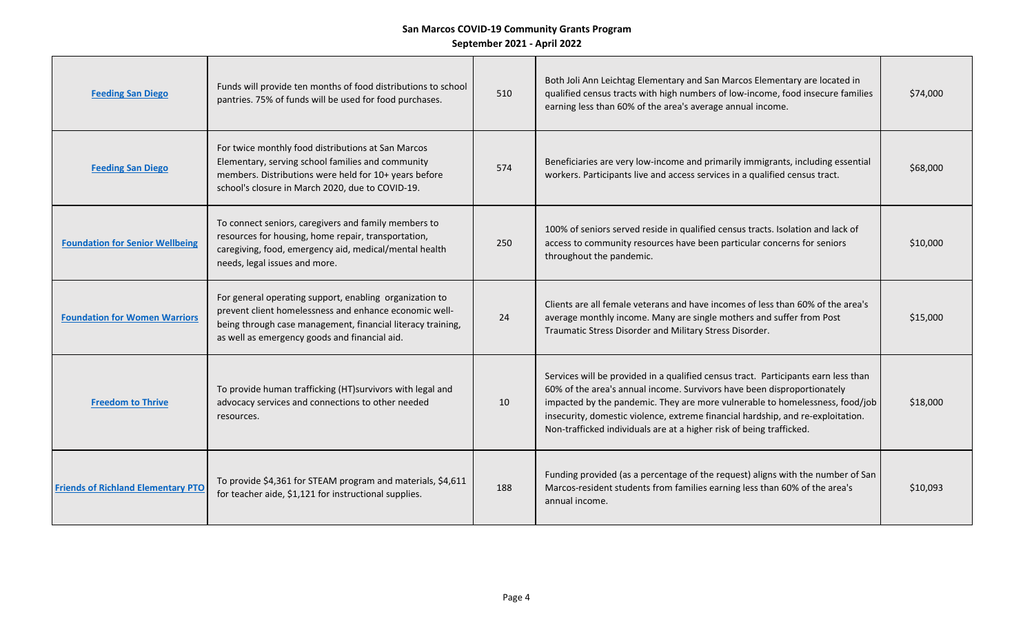| <b>Feeding San Diego</b>                  | Funds will provide ten months of food distributions to school<br>pantries. 75% of funds will be used for food purchases.                                                                                                          | 510 | Both Joli Ann Leichtag Elementary and San Marcos Elementary are located in<br>qualified census tracts with high numbers of low-income, food insecure families<br>earning less than 60% of the area's average annual income.                                                                                                                                                                              | \$74,000 |
|-------------------------------------------|-----------------------------------------------------------------------------------------------------------------------------------------------------------------------------------------------------------------------------------|-----|----------------------------------------------------------------------------------------------------------------------------------------------------------------------------------------------------------------------------------------------------------------------------------------------------------------------------------------------------------------------------------------------------------|----------|
| <b>Feeding San Diego</b>                  | For twice monthly food distributions at San Marcos<br>Elementary, serving school families and community<br>members. Distributions were held for 10+ years before<br>school's closure in March 2020, due to COVID-19.              | 574 | Beneficiaries are very low-income and primarily immigrants, including essential<br>workers. Participants live and access services in a qualified census tract.                                                                                                                                                                                                                                           | \$68,000 |
| <b>Foundation for Senior Wellbeing</b>    | To connect seniors, caregivers and family members to<br>resources for housing, home repair, transportation,<br>caregiving, food, emergency aid, medical/mental health<br>needs, legal issues and more.                            | 250 | 100% of seniors served reside in qualified census tracts. Isolation and lack of<br>access to community resources have been particular concerns for seniors<br>throughout the pandemic.                                                                                                                                                                                                                   | \$10,000 |
| <b>Foundation for Women Warriors</b>      | For general operating support, enabling organization to<br>prevent client homelessness and enhance economic well-<br>being through case management, financial literacy training,<br>as well as emergency goods and financial aid. | 24  | Clients are all female veterans and have incomes of less than 60% of the area's<br>average monthly income. Many are single mothers and suffer from Post<br>Traumatic Stress Disorder and Military Stress Disorder.                                                                                                                                                                                       | \$15,000 |
| <b>Freedom to Thrive</b>                  | To provide human trafficking (HT) survivors with legal and<br>advocacy services and connections to other needed<br>resources.                                                                                                     | 10  | Services will be provided in a qualified census tract. Participants earn less than<br>60% of the area's annual income. Survivors have been disproportionately<br>impacted by the pandemic. They are more vulnerable to homelessness, food/job<br>insecurity, domestic violence, extreme financial hardship, and re-exploitation.<br>Non-trafficked individuals are at a higher risk of being trafficked. | \$18,000 |
| <b>Friends of Richland Elementary PTO</b> | To provide \$4,361 for STEAM program and materials, \$4,611<br>for teacher aide, \$1,121 for instructional supplies.                                                                                                              | 188 | Funding provided (as a percentage of the request) aligns with the number of San<br>Marcos-resident students from families earning less than 60% of the area's<br>annual income.                                                                                                                                                                                                                          | \$10,093 |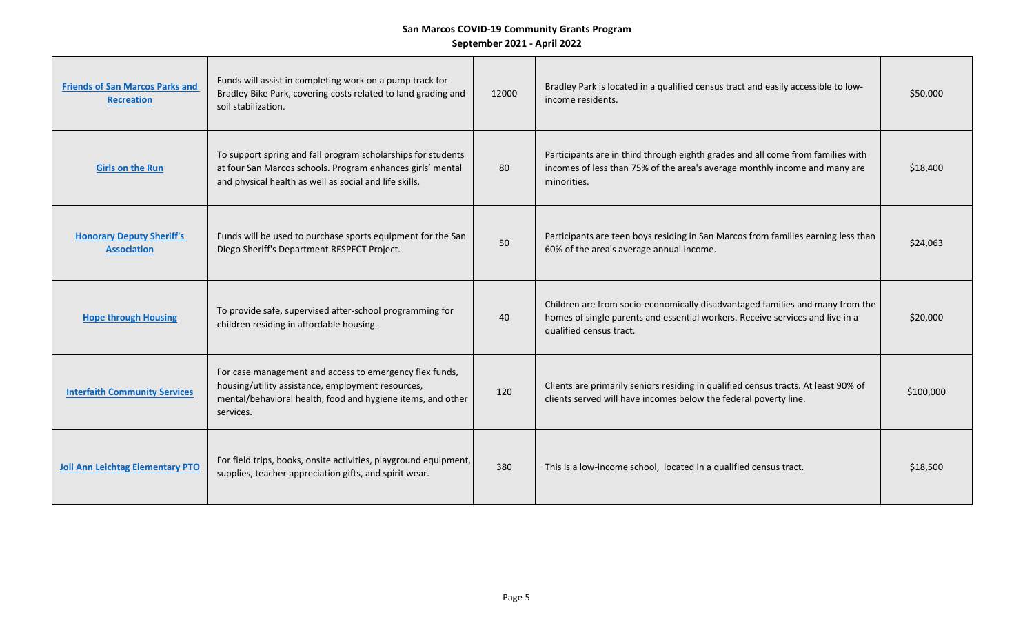| <b>Friends of San Marcos Parks and</b><br><b>Recreation</b> | Funds will assist in completing work on a pump track for<br>Bradley Bike Park, covering costs related to land grading and<br>soil stabilization.                                         | 12000 | Bradley Park is located in a qualified census tract and easily accessible to low-<br>income residents.                                                                                    | \$50,000  |
|-------------------------------------------------------------|------------------------------------------------------------------------------------------------------------------------------------------------------------------------------------------|-------|-------------------------------------------------------------------------------------------------------------------------------------------------------------------------------------------|-----------|
| <b>Girls on the Run</b>                                     | To support spring and fall program scholarships for students<br>at four San Marcos schools. Program enhances girls' mental<br>and physical health as well as social and life skills.     | 80    | Participants are in third through eighth grades and all come from families with<br>incomes of less than 75% of the area's average monthly income and many are<br>minorities.              | \$18,400  |
| <b>Honorary Deputy Sheriff's</b><br><b>Association</b>      | Funds will be used to purchase sports equipment for the San<br>Diego Sheriff's Department RESPECT Project.                                                                               | 50    | Participants are teen boys residing in San Marcos from families earning less than<br>60% of the area's average annual income.                                                             | \$24,063  |
| <b>Hope through Housing</b>                                 | To provide safe, supervised after-school programming for<br>children residing in affordable housing.                                                                                     | 40    | Children are from socio-economically disadvantaged families and many from the<br>homes of single parents and essential workers. Receive services and live in a<br>qualified census tract. | \$20,000  |
| <b>Interfaith Community Services</b>                        | For case management and access to emergency flex funds,<br>housing/utility assistance, employment resources,<br>mental/behavioral health, food and hygiene items, and other<br>services. | 120   | Clients are primarily seniors residing in qualified census tracts. At least 90% of<br>clients served will have incomes below the federal poverty line.                                    | \$100,000 |
| Joli Ann Leichtag Elementary PTO                            | For field trips, books, onsite activities, playground equipment,<br>supplies, teacher appreciation gifts, and spirit wear.                                                               | 380   | This is a low-income school, located in a qualified census tract.                                                                                                                         | \$18,500  |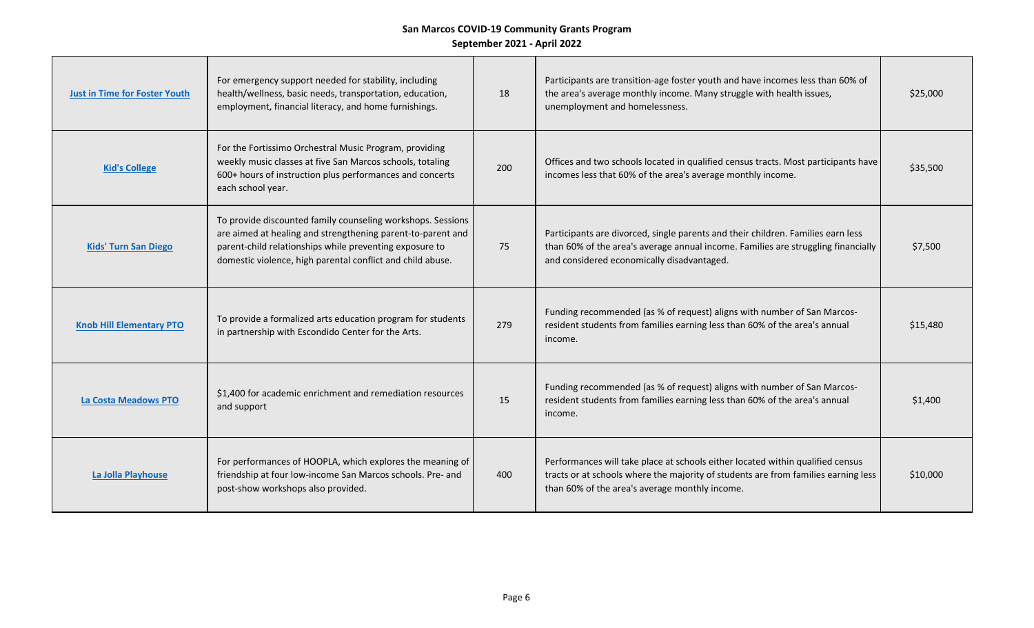| <b>Just in Time for Foster Youth</b> | For emergency support needed for stability, including<br>health/wellness, basic needs, transportation, education,<br>employment, financial literacy, and home furnishings.                                                                          | 18  | Participants are transition-age foster youth and have incomes less than 60% of<br>the area's average monthly income. Many struggle with health issues,<br>unemployment and homelessness.                               | \$25,000 |
|--------------------------------------|-----------------------------------------------------------------------------------------------------------------------------------------------------------------------------------------------------------------------------------------------------|-----|------------------------------------------------------------------------------------------------------------------------------------------------------------------------------------------------------------------------|----------|
| <b>Kid's College</b>                 | For the Fortissimo Orchestral Music Program, providing<br>weekly music classes at five San Marcos schools, totaling<br>600+ hours of instruction plus performances and concerts<br>each school year.                                                | 200 | Offices and two schools located in qualified census tracts. Most participants have<br>incomes less that 60% of the area's average monthly income.                                                                      | \$35,500 |
| <b>Kids' Turn San Diego</b>          | To provide discounted family counseling workshops. Sessions<br>are aimed at healing and strengthening parent-to-parent and<br>parent-child relationships while preventing exposure to<br>domestic violence, high parental conflict and child abuse. | 75  | Participants are divorced, single parents and their children. Families earn less<br>than 60% of the area's average annual income. Families are struggling financially<br>and considered economically disadvantaged.    | \$7,500  |
| <b>Knob Hill Elementary PTO</b>      | To provide a formalized arts education program for students<br>in partnership with Escondido Center for the Arts.                                                                                                                                   | 279 | Funding recommended (as % of request) aligns with number of San Marcos-<br>resident students from families earning less than 60% of the area's annual<br>income.                                                       | \$15,480 |
| <b>La Costa Meadows PTO</b>          | \$1,400 for academic enrichment and remediation resources<br>and support                                                                                                                                                                            | 15  | Funding recommended (as % of request) aligns with number of San Marcos-<br>resident students from families earning less than 60% of the area's annual<br>income.                                                       | \$1,400  |
| La Jolla Playhouse                   | For performances of HOOPLA, which explores the meaning of<br>friendship at four low-income San Marcos schools. Pre- and<br>post-show workshops also provided.                                                                                       | 400 | Performances will take place at schools either located within qualified census<br>tracts or at schools where the majority of students are from families earning less<br>than 60% of the area's average monthly income. | \$10,000 |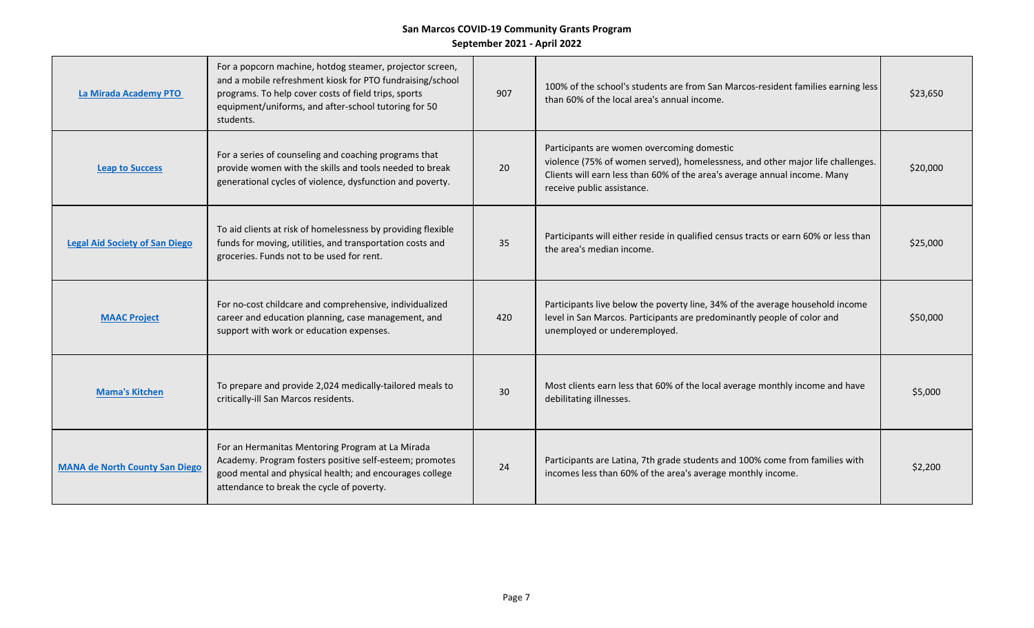| La Mirada Academy PTO                 | For a popcorn machine, hotdog steamer, projector screen,<br>and a mobile refreshment kiosk for PTO fundraising/school<br>programs. To help cover costs of field trips, sports<br>equipment/uniforms, and after-school tutoring for 50<br>students. | 907 | 100% of the school's students are from San Marcos-resident families earning less<br>than 60% of the local area's annual income.                                                                                                         | \$23,650 |
|---------------------------------------|----------------------------------------------------------------------------------------------------------------------------------------------------------------------------------------------------------------------------------------------------|-----|-----------------------------------------------------------------------------------------------------------------------------------------------------------------------------------------------------------------------------------------|----------|
| <b>Leap to Success</b>                | For a series of counseling and coaching programs that<br>provide women with the skills and tools needed to break<br>generational cycles of violence, dysfunction and poverty.                                                                      | 20  | Participants are women overcoming domestic<br>violence (75% of women served), homelessness, and other major life challenges.<br>Clients will earn less than 60% of the area's average annual income. Many<br>receive public assistance. | \$20,000 |
| <b>Legal Aid Society of San Diego</b> | To aid clients at risk of homelessness by providing flexible<br>funds for moving, utilities, and transportation costs and<br>groceries. Funds not to be used for rent.                                                                             | 35  | Participants will either reside in qualified census tracts or earn 60% or less than<br>the area's median income.                                                                                                                        | \$25,000 |
| <b>MAAC Project</b>                   | For no-cost childcare and comprehensive, individualized<br>career and education planning, case management, and<br>support with work or education expenses.                                                                                         | 420 | Participants live below the poverty line, 34% of the average household income<br>level in San Marcos. Participants are predominantly people of color and<br>unemployed or underemployed.                                                | \$50,000 |
| <b>Mama's Kitchen</b>                 | To prepare and provide 2,024 medically-tailored meals to<br>critically-ill San Marcos residents.                                                                                                                                                   | 30  | Most clients earn less that 60% of the local average monthly income and have<br>debilitating illnesses.                                                                                                                                 | \$5,000  |
| <b>MANA de North County San Diego</b> | For an Hermanitas Mentoring Program at La Mirada<br>Academy. Program fosters positive self-esteem; promotes<br>good mental and physical health; and encourages college<br>attendance to break the cycle of poverty.                                | 24  | Participants are Latina, 7th grade students and 100% come from families with<br>incomes less than 60% of the area's average monthly income.                                                                                             | \$2,200  |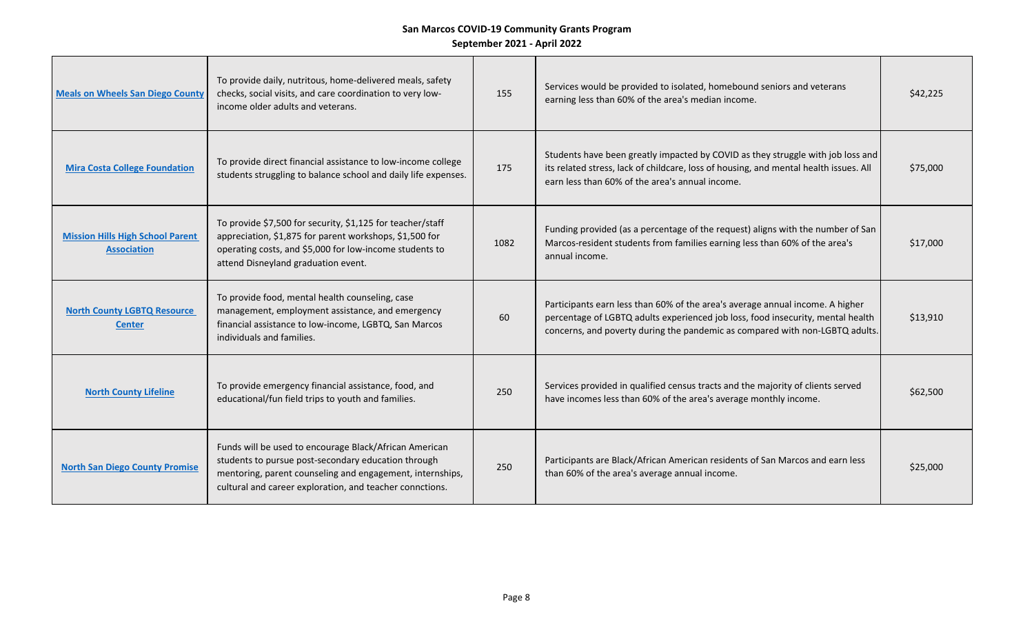| <b>Meals on Wheels San Diego County</b>                       | To provide daily, nutritous, home-delivered meals, safety<br>checks, social visits, and care coordination to very low-<br>income older adults and veterans.                                                                            | 155  | Services would be provided to isolated, homebound seniors and veterans<br>earning less than 60% of the area's median income.                                                                                                                     | \$42,225 |
|---------------------------------------------------------------|----------------------------------------------------------------------------------------------------------------------------------------------------------------------------------------------------------------------------------------|------|--------------------------------------------------------------------------------------------------------------------------------------------------------------------------------------------------------------------------------------------------|----------|
| <b>Mira Costa College Foundation</b>                          | To provide direct financial assistance to low-income college<br>students struggling to balance school and daily life expenses.                                                                                                         | 175  | Students have been greatly impacted by COVID as they struggle with job loss and<br>its related stress, lack of childcare, loss of housing, and mental health issues. All<br>earn less than 60% of the area's annual income.                      | \$75,000 |
| <b>Mission Hills High School Parent</b><br><b>Association</b> | To provide \$7,500 for security, \$1,125 for teacher/staff<br>appreciation, \$1,875 for parent workshops, \$1,500 for<br>operating costs, and \$5,000 for low-income students to<br>attend Disneyland graduation event.                | 1082 | Funding provided (as a percentage of the request) aligns with the number of San<br>Marcos-resident students from families earning less than 60% of the area's<br>annual income.                                                                  | \$17,000 |
| <b>North County LGBTQ Resource</b><br><b>Center</b>           | To provide food, mental health counseling, case<br>management, employment assistance, and emergency<br>financial assistance to low-income, LGBTQ, San Marcos<br>individuals and families.                                              | 60   | Participants earn less than 60% of the area's average annual income. A higher<br>percentage of LGBTQ adults experienced job loss, food insecurity, mental health<br>concerns, and poverty during the pandemic as compared with non-LGBTQ adults. | \$13,910 |
| <b>North County Lifeline</b>                                  | To provide emergency financial assistance, food, and<br>educational/fun field trips to youth and families.                                                                                                                             | 250  | Services provided in qualified census tracts and the majority of clients served<br>have incomes less than 60% of the area's average monthly income.                                                                                              | \$62,500 |
| <b>North San Diego County Promise</b>                         | Funds will be used to encourage Black/African American<br>students to pursue post-secondary education through<br>mentoring, parent counseling and engagement, internships,<br>cultural and career exploration, and teacher connctions. | 250  | Participants are Black/African American residents of San Marcos and earn less<br>than 60% of the area's average annual income.                                                                                                                   | \$25,000 |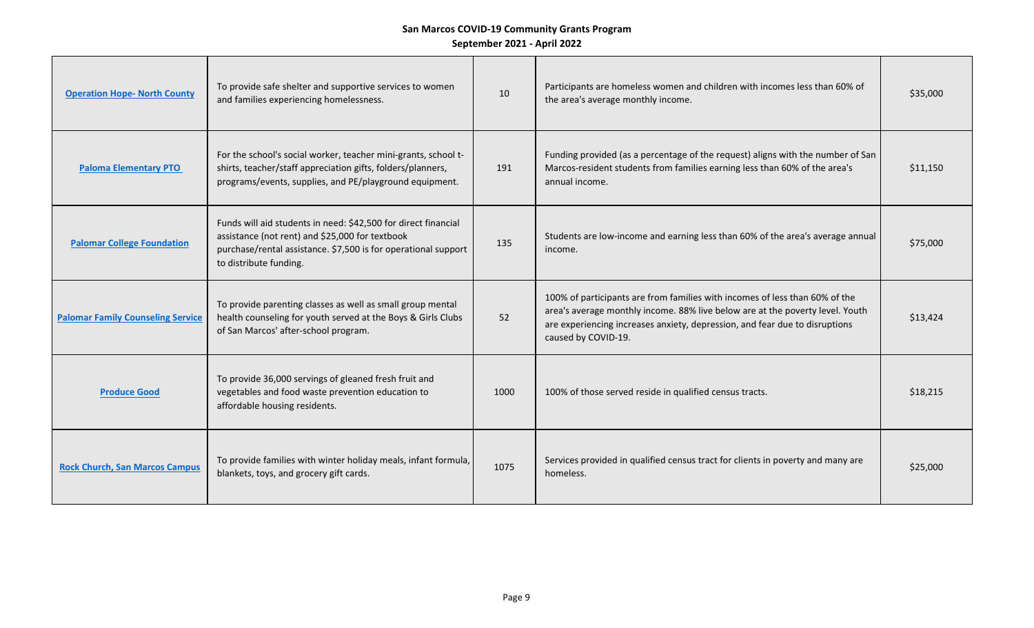| <b>Operation Hope- North County</b>      | To provide safe shelter and supportive services to women<br>and families experiencing homelessness.                                                                                                           | 10   | Participants are homeless women and children with incomes less than 60% of<br>the area's average monthly income.                                                                                                                                                   | \$35,000 |
|------------------------------------------|---------------------------------------------------------------------------------------------------------------------------------------------------------------------------------------------------------------|------|--------------------------------------------------------------------------------------------------------------------------------------------------------------------------------------------------------------------------------------------------------------------|----------|
| <b>Paloma Elementary PTO</b>             | For the school's social worker, teacher mini-grants, school t-<br>shirts, teacher/staff appreciation gifts, folders/planners,<br>programs/events, supplies, and PE/playground equipment.                      | 191  | Funding provided (as a percentage of the request) aligns with the number of San<br>Marcos-resident students from families earning less than 60% of the area's<br>annual income.                                                                                    | \$11,150 |
| <b>Palomar College Foundation</b>        | Funds will aid students in need: \$42,500 for direct financial<br>assistance (not rent) and \$25,000 for textbook<br>purchase/rental assistance. \$7,500 is for operational support<br>to distribute funding. | 135  | Students are low-income and earning less than 60% of the area's average annual<br>income.                                                                                                                                                                          | \$75,000 |
| <b>Palomar Family Counseling Service</b> | To provide parenting classes as well as small group mental<br>health counseling for youth served at the Boys & Girls Clubs<br>of San Marcos' after-school program.                                            | 52   | 100% of participants are from families with incomes of less than 60% of the<br>area's average monthly income. 88% live below are at the poverty level. Youth<br>are experiencing increases anxiety, depression, and fear due to disruptions<br>caused by COVID-19. | \$13,424 |
| <b>Produce Good</b>                      | To provide 36,000 servings of gleaned fresh fruit and<br>vegetables and food waste prevention education to<br>affordable housing residents.                                                                   | 1000 | 100% of those served reside in qualified census tracts.                                                                                                                                                                                                            | \$18,215 |
| <b>Rock Church, San Marcos Campus</b>    | To provide families with winter holiday meals, infant formula,<br>blankets, toys, and grocery gift cards.                                                                                                     | 1075 | Services provided in qualified census tract for clients in poverty and many are<br>homeless.                                                                                                                                                                       | \$25,000 |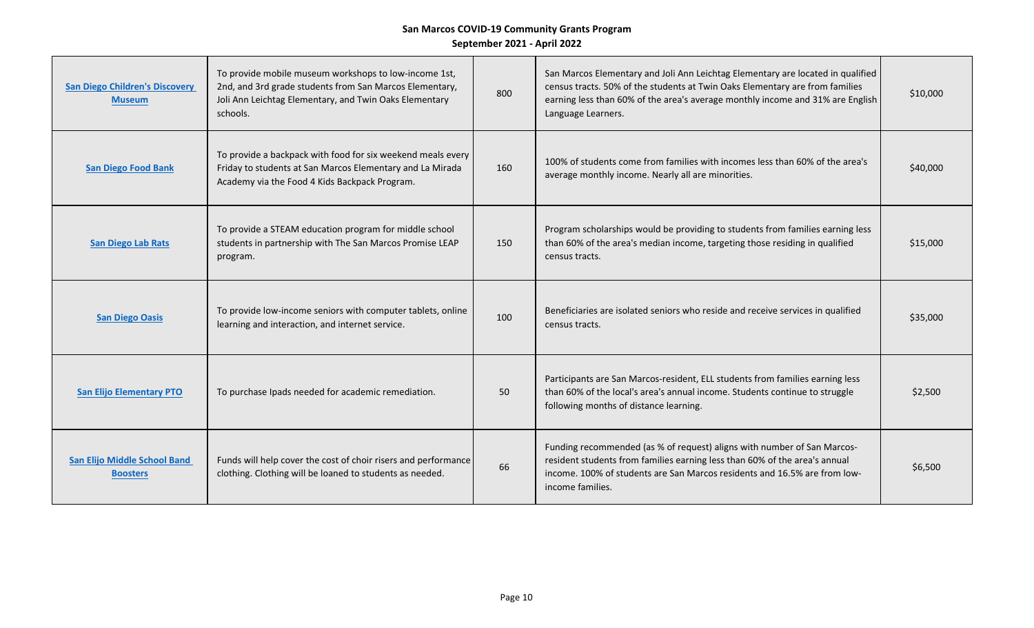| <b>San Diego Children's Discovery</b><br><b>Museum</b> | To provide mobile museum workshops to low-income 1st,<br>2nd, and 3rd grade students from San Marcos Elementary,<br>Joli Ann Leichtag Elementary, and Twin Oaks Elementary<br>schools. | 800 | San Marcos Elementary and Joli Ann Leichtag Elementary are located in qualified<br>census tracts. 50% of the students at Twin Oaks Elementary are from families<br>earning less than 60% of the area's average monthly income and 31% are English<br>Language Learners. | \$10,000 |
|--------------------------------------------------------|----------------------------------------------------------------------------------------------------------------------------------------------------------------------------------------|-----|-------------------------------------------------------------------------------------------------------------------------------------------------------------------------------------------------------------------------------------------------------------------------|----------|
| <b>San Diego Food Bank</b>                             | To provide a backpack with food for six weekend meals every<br>Friday to students at San Marcos Elementary and La Mirada<br>Academy via the Food 4 Kids Backpack Program.              | 160 | 100% of students come from families with incomes less than 60% of the area's<br>average monthly income. Nearly all are minorities.                                                                                                                                      | \$40,000 |
| <b>San Diego Lab Rats</b>                              | To provide a STEAM education program for middle school<br>students in partnership with The San Marcos Promise LEAP<br>program.                                                         | 150 | Program scholarships would be providing to students from families earning less<br>than 60% of the area's median income, targeting those residing in qualified<br>census tracts.                                                                                         | \$15,000 |
| <b>San Diego Oasis</b>                                 | To provide low-income seniors with computer tablets, online<br>learning and interaction, and internet service.                                                                         | 100 | Beneficiaries are isolated seniors who reside and receive services in qualified<br>census tracts.                                                                                                                                                                       | \$35,000 |
| <b>San Elijo Elementary PTO</b>                        | To purchase Ipads needed for academic remediation.                                                                                                                                     | 50  | Participants are San Marcos-resident, ELL students from families earning less<br>than 60% of the local's area's annual income. Students continue to struggle<br>following months of distance learning.                                                                  | \$2,500  |
| <b>San Elijo Middle School Band</b><br><b>Boosters</b> | Funds will help cover the cost of choir risers and performance<br>clothing. Clothing will be loaned to students as needed.                                                             | 66  | Funding recommended (as % of request) aligns with number of San Marcos-<br>resident students from families earning less than 60% of the area's annual<br>income. 100% of students are San Marcos residents and 16.5% are from low-<br>income families.                  | \$6,500  |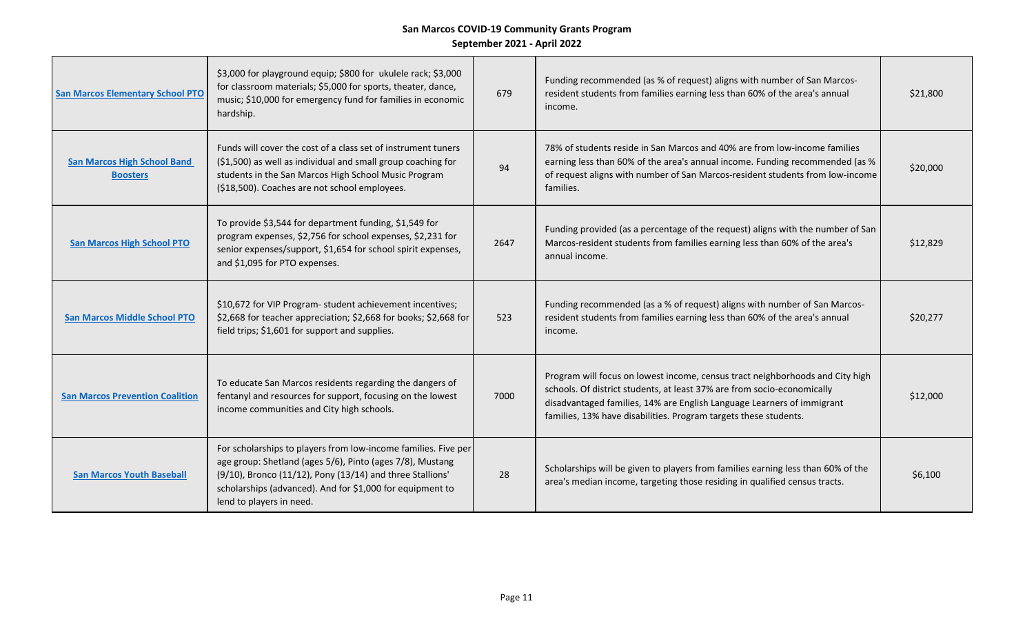| <b>San Marcos Elementary School PTO</b>               | \$3,000 for playground equip; \$800 for ukulele rack; \$3,000<br>for classroom materials; \$5,000 for sports, theater, dance,<br>music; \$10,000 for emergency fund for families in economic<br>hardship.                                                                         | 679  | Funding recommended (as % of request) aligns with number of San Marcos-<br>resident students from families earning less than 60% of the area's annual<br>income.                                                                                                                                       | \$21,800 |
|-------------------------------------------------------|-----------------------------------------------------------------------------------------------------------------------------------------------------------------------------------------------------------------------------------------------------------------------------------|------|--------------------------------------------------------------------------------------------------------------------------------------------------------------------------------------------------------------------------------------------------------------------------------------------------------|----------|
| <b>San Marcos High School Band</b><br><b>Boosters</b> | Funds will cover the cost of a class set of instrument tuners<br>(\$1,500) as well as individual and small group coaching for<br>students in the San Marcos High School Music Program<br>(\$18,500). Coaches are not school employees.                                            | 94   | 78% of students reside in San Marcos and 40% are from low-income families<br>earning less than 60% of the area's annual income. Funding recommended (as %<br>of request aligns with number of San Marcos-resident students from low-income<br>families.                                                | \$20,000 |
| <b>San Marcos High School PTO</b>                     | To provide \$3,544 for department funding, \$1,549 for<br>program expenses, \$2,756 for school expenses, \$2,231 for<br>senior expenses/support, \$1,654 for school spirit expenses,<br>and \$1,095 for PTO expenses.                                                             | 2647 | Funding provided (as a percentage of the request) aligns with the number of San<br>Marcos-resident students from families earning less than 60% of the area's<br>annual income.                                                                                                                        | \$12,829 |
| <b>San Marcos Middle School PTO</b>                   | \$10,672 for VIP Program- student achievement incentives;<br>\$2,668 for teacher appreciation; \$2,668 for books; \$2,668 for<br>field trips; \$1,601 for support and supplies.                                                                                                   | 523  | Funding recommended (as a % of request) aligns with number of San Marcos-<br>resident students from families earning less than 60% of the area's annual<br>income.                                                                                                                                     | \$20,277 |
| <b>San Marcos Prevention Coalition</b>                | To educate San Marcos residents regarding the dangers of<br>fentanyl and resources for support, focusing on the lowest<br>income communities and City high schools.                                                                                                               | 7000 | Program will focus on lowest income, census tract neighborhoods and City high<br>schools. Of district students, at least 37% are from socio-economically<br>disadvantaged families, 14% are English Language Learners of immigrant<br>families, 13% have disabilities. Program targets these students. | \$12,000 |
| <b>San Marcos Youth Baseball</b>                      | For scholarships to players from low-income families. Five per<br>age group: Shetland (ages 5/6), Pinto (ages 7/8), Mustang<br>(9/10), Bronco (11/12), Pony (13/14) and three Stallions'<br>scholarships (advanced). And for \$1,000 for equipment to<br>lend to players in need. | 28   | Scholarships will be given to players from families earning less than 60% of the<br>area's median income, targeting those residing in qualified census tracts.                                                                                                                                         | \$6,100  |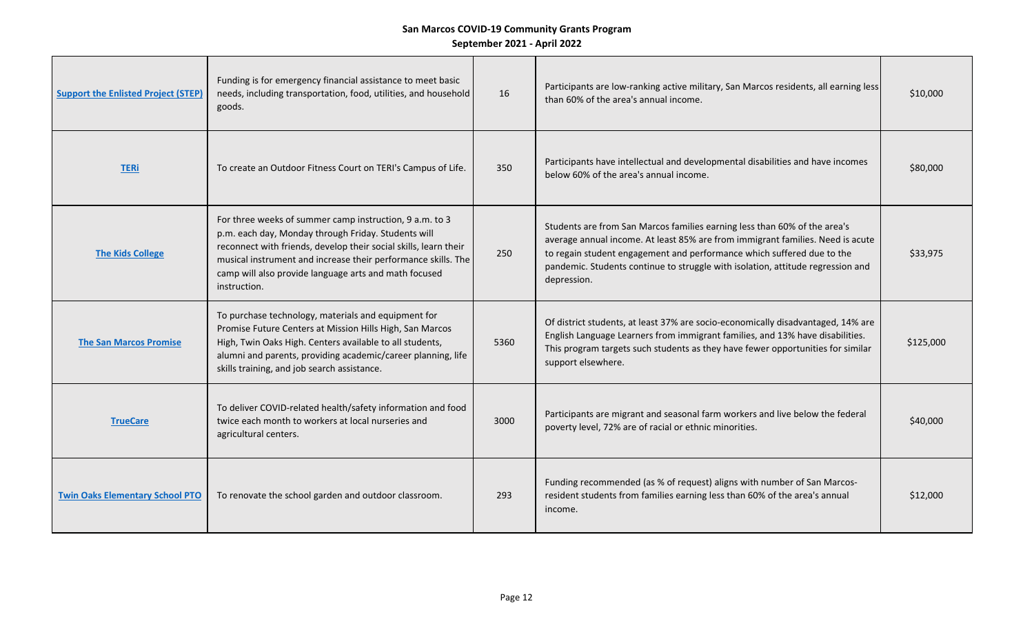| <b>Support the Enlisted Project (STEP)</b> | Funding is for emergency financial assistance to meet basic<br>needs, including transportation, food, utilities, and household<br>goods.                                                                                                                                                                                     | 16   | Participants are low-ranking active military, San Marcos residents, all earning less<br>than 60% of the area's annual income.                                                                                                                                                                                                           | \$10,000  |
|--------------------------------------------|------------------------------------------------------------------------------------------------------------------------------------------------------------------------------------------------------------------------------------------------------------------------------------------------------------------------------|------|-----------------------------------------------------------------------------------------------------------------------------------------------------------------------------------------------------------------------------------------------------------------------------------------------------------------------------------------|-----------|
| <b>TERi</b>                                | To create an Outdoor Fitness Court on TERI's Campus of Life.                                                                                                                                                                                                                                                                 | 350  | Participants have intellectual and developmental disabilities and have incomes<br>below 60% of the area's annual income.                                                                                                                                                                                                                | \$80,000  |
| <b>The Kids College</b>                    | For three weeks of summer camp instruction, 9 a.m. to 3<br>p.m. each day, Monday through Friday. Students will<br>reconnect with friends, develop their social skills, learn their<br>musical instrument and increase their performance skills. The<br>camp will also provide language arts and math focused<br>instruction. | 250  | Students are from San Marcos families earning less than 60% of the area's<br>average annual income. At least 85% are from immigrant families. Need is acute<br>to regain student engagement and performance which suffered due to the<br>pandemic. Students continue to struggle with isolation, attitude regression and<br>depression. | \$33,975  |
| <b>The San Marcos Promise</b>              | To purchase technology, materials and equipment for<br>Promise Future Centers at Mission Hills High, San Marcos<br>High, Twin Oaks High. Centers available to all students,<br>alumni and parents, providing academic/career planning, life<br>skills training, and job search assistance.                                   | 5360 | Of district students, at least 37% are socio-economically disadvantaged, 14% are<br>English Language Learners from immigrant families, and 13% have disabilities.<br>This program targets such students as they have fewer opportunities for similar<br>support elsewhere.                                                              | \$125,000 |
| <b>TrueCare</b>                            | To deliver COVID-related health/safety information and food<br>twice each month to workers at local nurseries and<br>agricultural centers.                                                                                                                                                                                   | 3000 | Participants are migrant and seasonal farm workers and live below the federal<br>poverty level, 72% are of racial or ethnic minorities.                                                                                                                                                                                                 | \$40,000  |
| <b>Twin Oaks Elementary School PTO</b>     | To renovate the school garden and outdoor classroom.                                                                                                                                                                                                                                                                         | 293  | Funding recommended (as % of request) aligns with number of San Marcos-<br>resident students from families earning less than 60% of the area's annual<br>income.                                                                                                                                                                        | \$12,000  |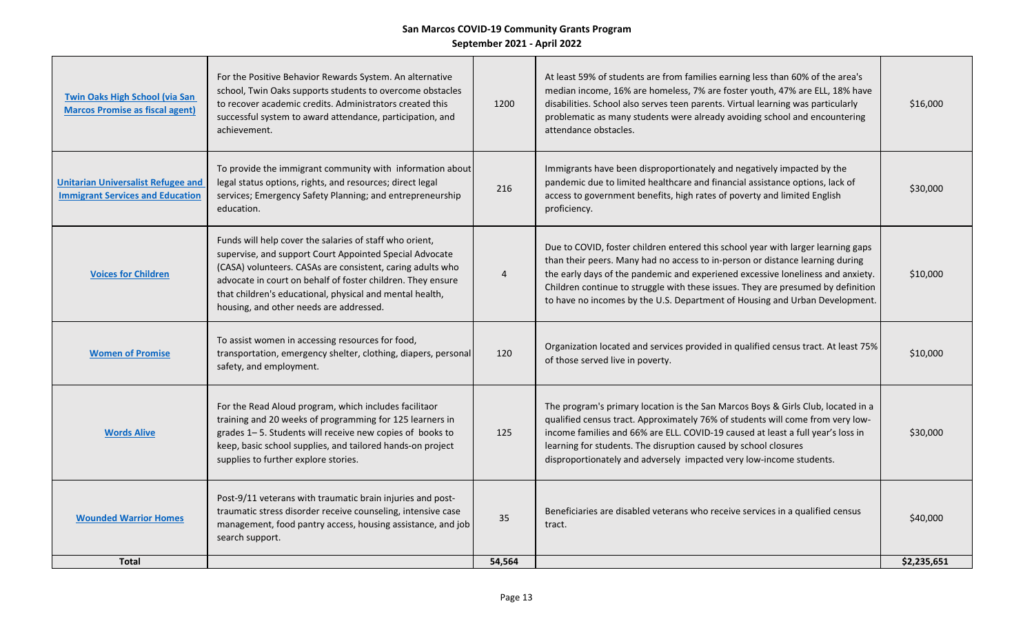| <b>Twin Oaks High School (via San</b><br><b>Marcos Promise as fiscal agent)</b>      | For the Positive Behavior Rewards System. An alternative<br>school, Twin Oaks supports students to overcome obstacles<br>to recover academic credits. Administrators created this<br>successful system to award attendance, participation, and<br>achievement.                                                                                         | 1200   | At least 59% of students are from families earning less than 60% of the area's<br>median income, 16% are homeless, 7% are foster youth, 47% are ELL, 18% have<br>disabilities. School also serves teen parents. Virtual learning was particularly<br>problematic as many students were already avoiding school and encountering<br>attendance obstacles.                                                                | \$16,000    |
|--------------------------------------------------------------------------------------|--------------------------------------------------------------------------------------------------------------------------------------------------------------------------------------------------------------------------------------------------------------------------------------------------------------------------------------------------------|--------|-------------------------------------------------------------------------------------------------------------------------------------------------------------------------------------------------------------------------------------------------------------------------------------------------------------------------------------------------------------------------------------------------------------------------|-------------|
| <b>Unitarian Universalist Refugee and</b><br><b>Immigrant Services and Education</b> | To provide the immigrant community with information about<br>legal status options, rights, and resources; direct legal<br>services; Emergency Safety Planning; and entrepreneurship<br>education.                                                                                                                                                      | 216    | Immigrants have been disproportionately and negatively impacted by the<br>pandemic due to limited healthcare and financial assistance options, lack of<br>access to government benefits, high rates of poverty and limited English<br>proficiency.                                                                                                                                                                      | \$30,000    |
| <b>Voices for Children</b>                                                           | Funds will help cover the salaries of staff who orient,<br>supervise, and support Court Appointed Special Advocate<br>(CASA) volunteers. CASAs are consistent, caring adults who<br>advocate in court on behalf of foster children. They ensure<br>that children's educational, physical and mental health,<br>housing, and other needs are addressed. | 4      | Due to COVID, foster children entered this school year with larger learning gaps<br>than their peers. Many had no access to in-person or distance learning during<br>the early days of the pandemic and experiened excessive loneliness and anxiety.<br>Children continue to struggle with these issues. They are presumed by definition<br>to have no incomes by the U.S. Department of Housing and Urban Development. | \$10,000    |
| <b>Women of Promise</b>                                                              | To assist women in accessing resources for food,<br>transportation, emergency shelter, clothing, diapers, personal<br>safety, and employment.                                                                                                                                                                                                          | 120    | Organization located and services provided in qualified census tract. At least 75%<br>of those served live in poverty.                                                                                                                                                                                                                                                                                                  | \$10,000    |
| <b>Words Alive</b>                                                                   | For the Read Aloud program, which includes facilitaor<br>training and 20 weeks of programming for 125 learners in<br>grades 1-5. Students will receive new copies of books to<br>keep, basic school supplies, and tailored hands-on project<br>supplies to further explore stories.                                                                    | 125    | The program's primary location is the San Marcos Boys & Girls Club, located in a<br>qualified census tract. Approximately 76% of students will come from very low-<br>income families and 66% are ELL. COVID-19 caused at least a full year's loss in<br>learning for students. The disruption caused by school closures<br>disproportionately and adversely impacted very low-income students.                         | \$30,000    |
| <b>Wounded Warrior Homes</b>                                                         | Post-9/11 veterans with traumatic brain injuries and post-<br>traumatic stress disorder receive counseling, intensive case<br>management, food pantry access, housing assistance, and job<br>search support.                                                                                                                                           | 35     | Beneficiaries are disabled veterans who receive services in a qualified census<br>tract.                                                                                                                                                                                                                                                                                                                                | \$40,000    |
| <b>Total</b>                                                                         |                                                                                                                                                                                                                                                                                                                                                        | 54,564 |                                                                                                                                                                                                                                                                                                                                                                                                                         | \$2,235,651 |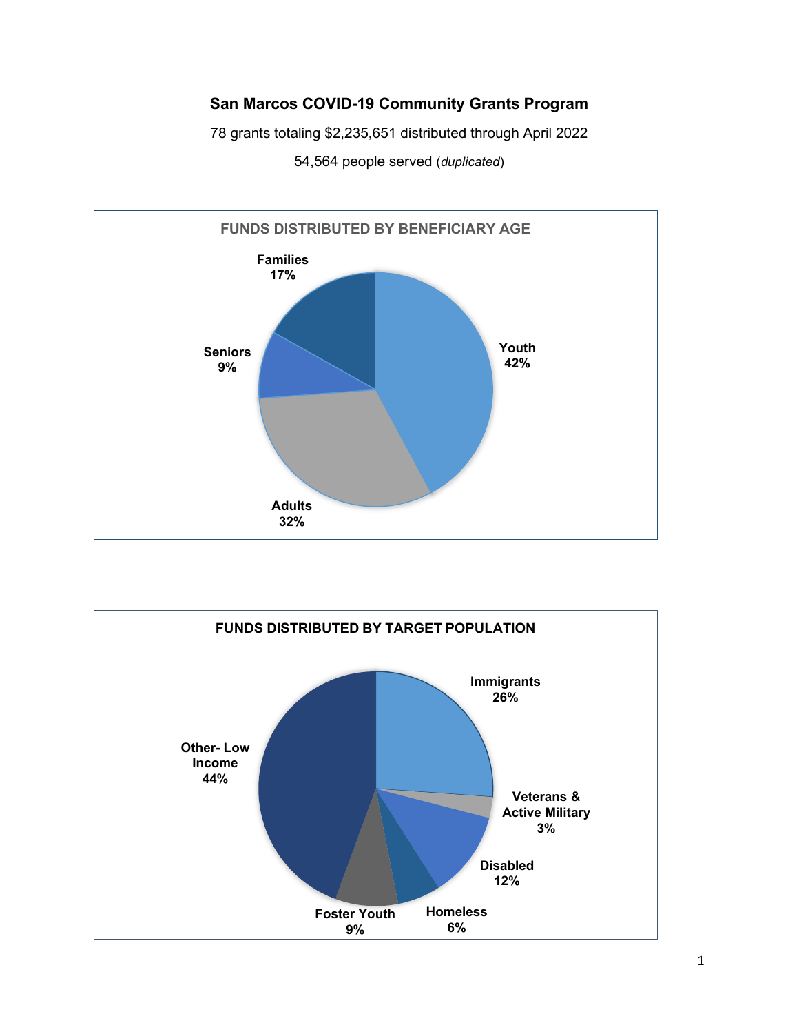## **San Marcos COVID-19 Community Grants Program**

78 grants totaling \$2,235,651 distributed through April 2022



54,564 people served (*duplicated*)